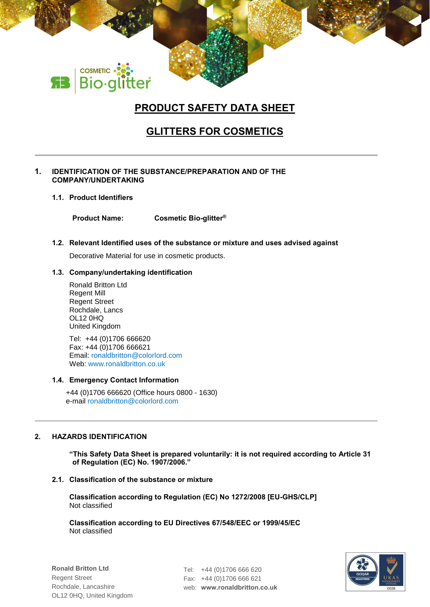# **PRODUCT SAFETY DATA SHEET**

# **GLITTERS FOR COSMETICS**

## **1. IDENTIFICATION OF THE SUBSTANCE/PREPARATION AND OF THE COMPANY/UNDERTAKING**

**1.1. Product Identifiers**

COSMETIC . 22:<br>Bio·glitter

**Product Name: Cosmetic Bio-glitter®**

## **1.2. Relevant Identified uses of the substance or mixture and uses advised against**

Decorative Material for use in cosmetic products.

## **1.3. Company/undertaking identification**

Ronald Britton Ltd Regent Mill Regent Street Rochdale, Lancs OL12 0HQ United Kingdom

Tel: +44 (0)1706 666620 Fax: +44 (0)1706 666621 Email: ronaldbritton@colorlord.com Web: www.ronaldbritton.co.uk

## **1.4. Emergency Contact Information**

+44 (0)1706 666620 (Office hours 0800 - 1630) e-mail ronaldbritton@colorlord.com

## **2. HAZARDS IDENTIFICATION**

**"This Safety Data Sheet is prepared voluntarily: it is not required according to Article 31 of Regulation (EC) No. 1907/2006."**

### **2.1. Classification of the substance or mixture**

**Classification according to Regulation (EC) No 1272/2008 [EU-GHS/CLP]** Not classified

**Classification according to EU Directives 67/548/EEC or 1999/45/EC** Not classified

Tel: +44 (0)1706 666 620 Fax: +44 (0)1706 666 621 web: **www.ronaldbritton.co.uk**

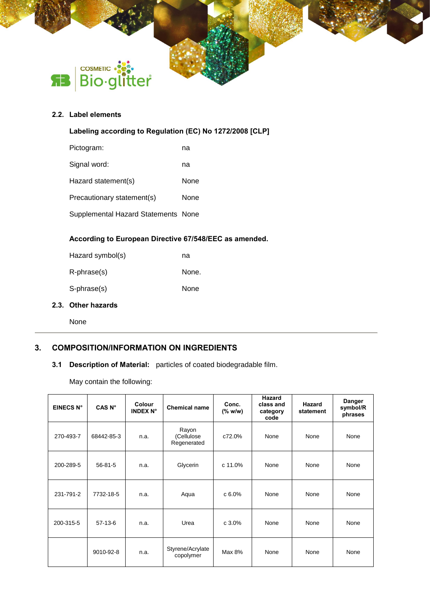

## **2.2. Label elements**

## **Labeling according to Regulation (EC) No 1272/2008 [CLP]**

| Pictogram:                          | na   |
|-------------------------------------|------|
| Signal word:                        | na   |
| Hazard statement(s)                 | None |
| Precautionary statement(s)          | None |
| Supplemental Hazard Statements None |      |

## **According to European Directive 67/548/EEC as amended.**

| Hazard symbol(s) | na    |
|------------------|-------|
| R-phrase(s)      | None. |
| S-phrase(s)      | None  |

## **2.3. Other hazards**

None

## **3. COMPOSITION/INFORMATION ON INGREDIENTS**

## **3.1 Description of Material:** particles of coated biodegradable film.

May contain the following:

| EINECS N° | CAS N°        | Colour<br><b>INDEX N°</b> | <b>Chemical name</b>               | Conc.<br>(% w/w) | <b>Hazard</b><br>class and<br>category<br>code | Hazard<br>statement | <b>Danger</b><br>symbol/R<br>phrases |
|-----------|---------------|---------------------------|------------------------------------|------------------|------------------------------------------------|---------------------|--------------------------------------|
| 270-493-7 | 68442-85-3    | n.a.                      | Rayon<br>(Cellulose<br>Regenerated | c72.0%           | None                                           | None                | None                                 |
| 200-289-5 | $56 - 81 - 5$ | n.a.                      | Glycerin                           | c 11.0%          | None                                           | None                | None                                 |
| 231-791-2 | 7732-18-5     | n.a.                      | Aqua                               | c 6.0%           | None                                           | None                | None                                 |
| 200-315-5 | $57-13-6$     | n.a.                      | Urea                               | c 3.0%           | None                                           | None                | None                                 |
|           | 9010-92-8     | n.a.                      | Styrene/Acrylate<br>copolymer      | Max 8%           | None                                           | None                | None                                 |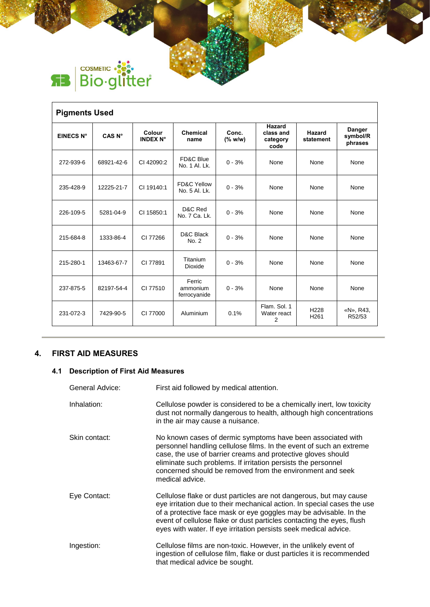

| <b>Pigments Used</b> |                   |                           |                                         |                       |                                         |                                      |                                      |
|----------------------|-------------------|---------------------------|-----------------------------------------|-----------------------|-----------------------------------------|--------------------------------------|--------------------------------------|
| <b>EINECS N°</b>     | CAS <sub>N°</sub> | Colour<br><b>INDEX N°</b> | <b>Chemical</b><br>name                 | Conc.<br>$(%$ (% w/w) | Hazard<br>class and<br>category<br>code | <b>Hazard</b><br>statement           | <b>Danger</b><br>symbol/R<br>phrases |
| 272-939-6            | 68921-42-6        | CI 42090:2                | FD&C Blue<br>No. 1 Al. Lk.              | $0 - 3%$              | None                                    | None                                 | None                                 |
| 235-428-9            | 12225-21-7        | CI 19140:1                | <b>FD&amp;C Yellow</b><br>No. 5 Al. Lk. | $0 - 3%$              | None                                    | None                                 | None                                 |
| 226-109-5            | 5281-04-9         | CI 15850:1                | D&C Red<br>No. 7 Ca. Lk.                | $0 - 3%$              | None                                    | None                                 | None                                 |
| 215-684-8            | 1333-86-4         | CI 77266                  | D&C Black<br>No. 2                      | $0 - 3%$              | None                                    | None                                 | None                                 |
| 215-280-1            | 13463-67-7        | CI 77891                  | Titanium<br>Dioxide                     | $0 - 3%$              | None                                    | None                                 | None                                 |
| 237-875-5            | 82197-54-4        | CI 77510                  | Ferric<br>ammonium<br>ferrocyanide      | $0 - 3%$              | None                                    | None                                 | None                                 |
| 231-072-3            | 7429-90-5         | CI 77000                  | Aluminium                               | 0.1%                  | Flam, Sol. 1<br>Water react<br>2        | H <sub>228</sub><br>H <sub>261</sub> | «N», R43,<br>R52/53                  |

## **4. FIRST AID MEASURES**

## **4.1 Description of First Aid Measures**

| General Advice: | First aid followed by medical attention.                                                                                                                                                                                                                                                                                                                        |
|-----------------|-----------------------------------------------------------------------------------------------------------------------------------------------------------------------------------------------------------------------------------------------------------------------------------------------------------------------------------------------------------------|
| Inhalation:     | Cellulose powder is considered to be a chemically inert, low toxicity<br>dust not normally dangerous to health, although high concentrations<br>in the air may cause a nuisance.                                                                                                                                                                                |
| Skin contact:   | No known cases of dermic symptoms have been associated with<br>personnel handling cellulose films. In the event of such an extreme<br>case, the use of barrier creams and protective gloves should<br>eliminate such problems. If irritation persists the personnel<br>concerned should be removed from the environment and seek<br>medical advice.             |
| Eye Contact:    | Cellulose flake or dust particles are not dangerous, but may cause<br>eye irritation due to their mechanical action. In special cases the use<br>of a protective face mask or eye goggles may be advisable. In the<br>event of cellulose flake or dust particles contacting the eyes, flush<br>eyes with water. If eye irritation persists seek medical advice. |
| Ingestion:      | Cellulose films are non-toxic. However, in the unlikely event of<br>ingestion of cellulose film, flake or dust particles it is recommended<br>that medical advice be sought.                                                                                                                                                                                    |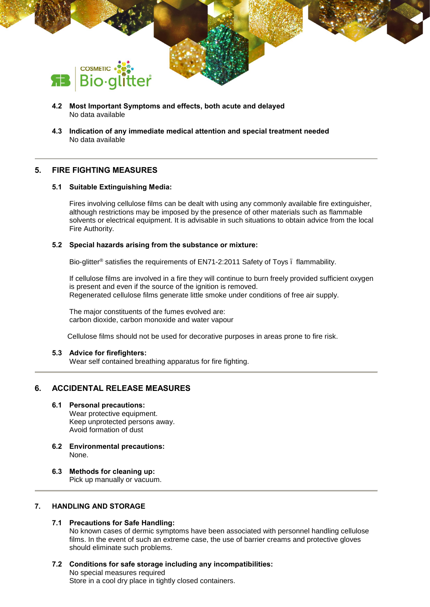

- **4.2 Most Important Symptoms and effects, both acute and delayed** No data available
- **4.3 Indication of any immediate medical attention and special treatment needed** No data available

## **5. FIRE FIGHTING MEASURES**

## **5.1 Suitable Extinguishing Media:**

Fires involving cellulose films can be dealt with using any commonly available fire extinguisher, although restrictions may be imposed by the presence of other materials such as flammable solvents or electrical equipment. It is advisable in such situations to obtain advice from the local Fire Authority.

### **5.2 Special hazards arising from the substance or mixture:**

Bio-glitter® satisfies the requirements of EN71-2:2011 Safety of Toys – flammability.

If cellulose films are involved in a fire they will continue to burn freely provided sufficient oxygen is present and even if the source of the ignition is removed. Regenerated cellulose films generate little smoke under conditions of free air supply.

The major constituents of the fumes evolved are: carbon dioxide, carbon monoxide and water vapour

Cellulose films should not be used for decorative purposes in areas prone to fire risk.

### **5.3 Advice for firefighters:**

Wear self contained breathing apparatus for fire fighting.

## **6. ACCIDENTAL RELEASE MEASURES**

## **6.1 Personal precautions:**

Wear protective equipment. Keep unprotected persons away. Avoid formation of dust

- **6.2 Environmental precautions:** None.
- **6.3 Methods for cleaning up:** Pick up manually or vacuum.

## **7. HANDLING AND STORAGE**

### **7.1 Precautions for Safe Handling:**

No known cases of dermic symptoms have been associated with personnel handling cellulose films. In the event of such an extreme case, the use of barrier creams and protective gloves should eliminate such problems.

**7.2 Conditions for safe storage including any incompatibilities:** No special measures required Store in a cool dry place in tightly closed containers.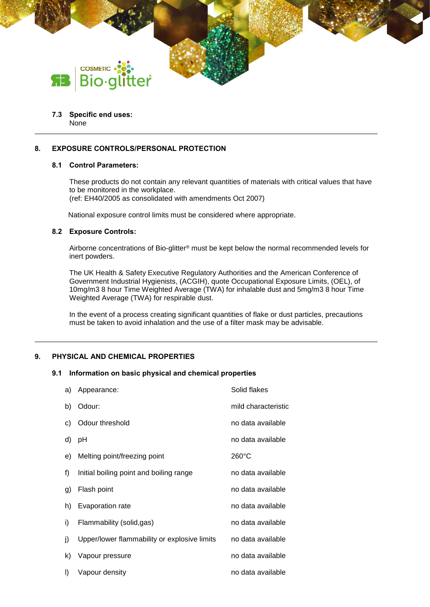

#### **7.3 Specific end uses:** None

## **8. EXPOSURE CONTROLS/PERSONAL PROTECTION**

## **8.1 Control Parameters:**

These products do not contain any relevant quantities of materials with critical values that have to be monitored in the workplace.

(ref: EH40/2005 as consolidated with amendments Oct 2007)

National exposure control limits must be considered where appropriate.

#### **8.2 Exposure Controls:**

Airborne concentrations of Bio-glitter® must be kept below the normal recommended levels for inert powders.

The UK Health & Safety Executive Regulatory Authorities and the American Conference of Government Industrial Hygienists, (ACGIH), quote Occupational Exposure Limits, (OEL), of 10mg/m3 8 hour Time Weighted Average (TWA) for inhalable dust and 5mg/m3 8 hour Time Weighted Average (TWA) for respirable dust.

In the event of a process creating significant quantities of flake or dust particles, precautions must be taken to avoid inhalation and the use of a filter mask may be advisable.

### **9. PHYSICAL AND CHEMICAL PROPERTIES**

#### **9.1 Information on basic physical and chemical properties**

| a)      | Appearance:                                  | Solid flakes        |
|---------|----------------------------------------------|---------------------|
| b)      | Odour:                                       | mild characteristic |
| C)      | Odour threshold                              | no data available   |
| d)      | рH                                           | no data available   |
| e)      | Melting point/freezing point                 | $260^{\circ}$ C     |
| f)      | Initial boiling point and boiling range      | no data available   |
| g)      | Flash point                                  | no data available   |
| h)      | Evaporation rate                             | no data available   |
| i)      | Flammability (solid,gas)                     | no data available   |
| j)      | Upper/lower flammability or explosive limits | no data available   |
| k)      | Vapour pressure                              | no data available   |
| $\vert$ | Vapour density                               | no data available   |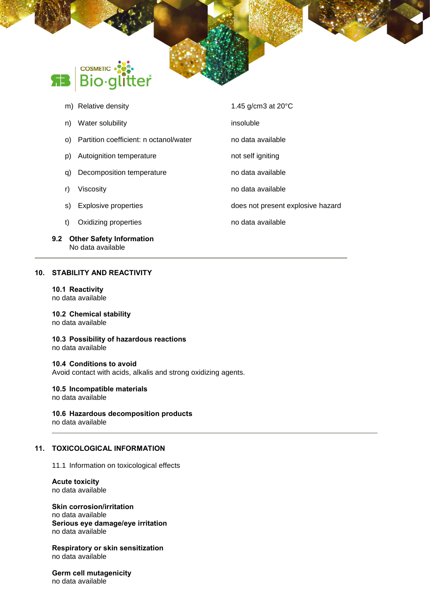

- 
- q) Decomposition temperature no data available
- r) Viscosity **no data available**
- s) Explosive properties does not present explosive hazard
- t) Oxidizing properties no data available
- **9.2 Other Safety Information** No data available

## **10. STABILITY AND REACTIVITY**

## **10.1 Reactivity**

no data available

## **10.2 Chemical stability**

no data available

**10.3 Possibility of hazardous reactions** no data available

#### **10.4 Conditions to avoid**

Avoid contact with acids, alkalis and strong oxidizing agents.

#### **10.5 Incompatible materials**

no data available

## **10.6 Hazardous decomposition products**

no data available

## **11. TOXICOLOGICAL INFORMATION**

11.1 Information on toxicological effects

#### **Acute toxicity** no data available

**Skin corrosion/irritation** no data available **Serious eye damage/eye irritation** no data available

**Respiratory or skin sensitization** no data available

**Germ cell mutagenicity** no data available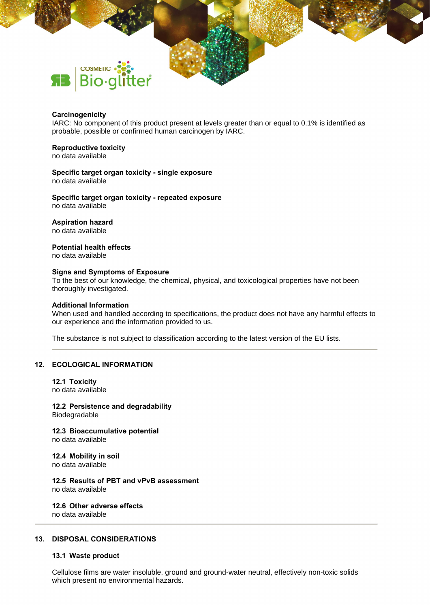

#### **Carcinogenicity**

IARC: No component of this product present at levels greater than or equal to 0.1% is identified as probable, possible or confirmed human carcinogen by IARC.

#### **Reproductive toxicity**

no data available

#### **Specific target organ toxicity - single exposure** no data available

**Specific target organ toxicity - repeated exposure** no data available

#### **Aspiration hazard**

no data available

## **Potential health effects**

no data available

#### **Signs and Symptoms of Exposure**

To the best of our knowledge, the chemical, physical, and toxicological properties have not been thoroughly investigated.

#### **Additional Information**

When used and handled according to specifications, the product does not have any harmful effects to our experience and the information provided to us.

The substance is not subject to classification according to the latest version of the EU lists.

#### **12. ECOLOGICAL INFORMATION**

## **12.1 Toxicity**

no data available

#### **12.2 Persistence and degradability** Biodegradable

**12.3 Bioaccumulative potential** no data available

#### **12.4 Mobility in soil** no data available

**12.5 Results of PBT and vPvB assessment**

no data available

#### **12.6 Other adverse effects** no data available

### **13. DISPOSAL CONSIDERATIONS**

#### **13.1 Waste product**

Cellulose films are water insoluble, ground and ground-water neutral, effectively non-toxic solids which present no environmental hazards.